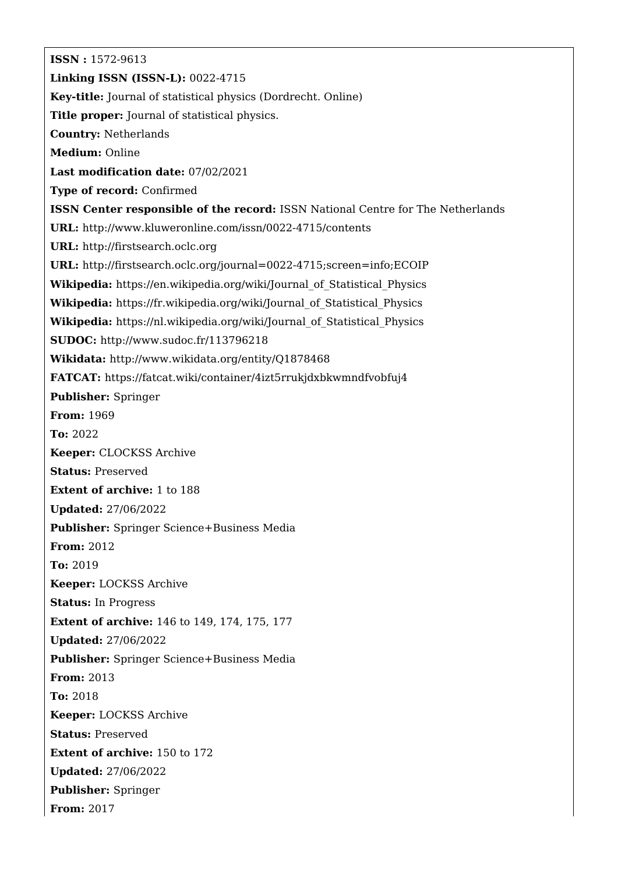**ISSN :** 1572-9613 **Linking ISSN (ISSN-L):** 0022-4715 **Key-title:** Journal of statistical physics (Dordrecht. Online) **Title proper:** Journal of statistical physics. **Country:** Netherlands **Medium:** Online **Last modification date:** 07/02/2021 **Type of record:** Confirmed **ISSN Center responsible of the record:** ISSN National Centre for The Netherlands **URL:** <http://www.kluweronline.com/issn/0022-4715/contents> **URL:** <http://firstsearch.oclc.org> **URL:** <http://firstsearch.oclc.org/journal=0022-4715;screen=info;ECOIP> **Wikipedia:** [https://en.wikipedia.org/wiki/Journal\\_of\\_Statistical\\_Physics](https://en.wikipedia.org/wiki/Journal_of_Statistical_Physics) **Wikipedia:** [https://fr.wikipedia.org/wiki/Journal\\_of\\_Statistical\\_Physics](https://fr.wikipedia.org/wiki/Journal_of_Statistical_Physics) **Wikipedia:** [https://nl.wikipedia.org/wiki/Journal\\_of\\_Statistical\\_Physics](https://nl.wikipedia.org/wiki/Journal_of_Statistical_Physics) **SUDOC:** <http://www.sudoc.fr/113796218> **Wikidata:** <http://www.wikidata.org/entity/Q1878468> **FATCAT:** <https://fatcat.wiki/container/4izt5rrukjdxbkwmndfvobfuj4> **Publisher:** Springer **From:** 1969 **To:** 2022 **Keeper:** CLOCKSS Archive **Status:** Preserved **Extent of archive:** 1 to 188 **Updated:** 27/06/2022 **Publisher:** Springer Science+Business Media **From:** 2012 **To:** 2019 **Keeper:** LOCKSS Archive **Status:** In Progress **Extent of archive:** 146 to 149, 174, 175, 177 **Updated:** 27/06/2022 **Publisher:** Springer Science+Business Media **From:** 2013 **To:** 2018 **Keeper:** LOCKSS Archive **Status:** Preserved **Extent of archive:** 150 to 172 **Updated:** 27/06/2022 **Publisher:** Springer **From:** 2017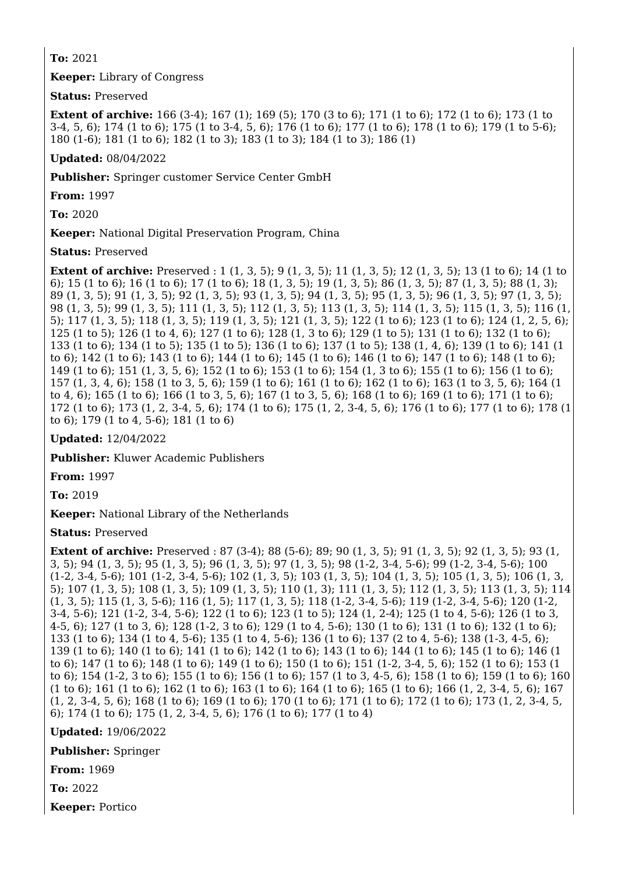**To:** 2021

**Keeper:** Library of Congress

**Status:** Preserved

**Extent of archive:** 166 (3-4); 167 (1); 169 (5); 170 (3 to 6); 171 (1 to 6); 172 (1 to 6); 173 (1 to 3-4, 5, 6); 174 (1 to 6); 175 (1 to 3-4, 5, 6); 176 (1 to 6); 177 (1 to 6); 178 (1 to 6); 179 (1 to 5-6); 180 (1-6); 181 (1 to 6); 182 (1 to 3); 183 (1 to 3); 184 (1 to 3); 186 (1)

**Updated:** 08/04/2022

**Publisher:** Springer customer Service Center GmbH

**From:** 1997

**To:** 2020

**Keeper:** National Digital Preservation Program, China

**Status:** Preserved

**Extent of archive:** Preserved : 1 (1, 3, 5); 9 (1, 3, 5); 11 (1, 3, 5); 12 (1, 3, 5); 13 (1 to 6); 14 (1 to 6); 15 (1 to 6); 16 (1 to 6); 17 (1 to 6); 18 (1, 3, 5); 19 (1, 3, 5); 86 (1, 3, 5); 87 (1, 3, 5); 88 (1, 3); 89 (1, 3, 5); 91 (1, 3, 5); 92 (1, 3, 5); 93 (1, 3, 5); 94 (1, 3, 5); 95 (1, 3, 5); 96 (1, 3, 5); 97 (1, 3, 5); 98 (1, 3, 5); 99 (1, 3, 5); 111 (1, 3, 5); 112 (1, 3, 5); 113 (1, 3, 5); 114 (1, 3, 5); 115 (1, 3, 5); 116 (1, 5); 117 (1, 3, 5); 118 (1, 3, 5); 119 (1, 3, 5); 121 (1, 3, 5); 122 (1 to 6); 123 (1 to 6); 124 (1, 2, 5, 6); 125 (1 to 5); 126 (1 to 4, 6); 127 (1 to 6); 128 (1, 3 to 6); 129 (1 to 5); 131 (1 to 6); 132 (1 to 6); 133 (1 to 6); 134 (1 to 5); 135 (1 to 5); 136 (1 to 6); 137 (1 to 5); 138 (1, 4, 6); 139 (1 to 6); 141 (1 to 6); 142 (1 to 6); 143 (1 to 6); 144 (1 to 6); 145 (1 to 6); 146 (1 to 6); 147 (1 to 6); 148 (1 to 6); 149 (1 to 6); 151 (1, 3, 5, 6); 152 (1 to 6); 153 (1 to 6); 154 (1, 3 to 6); 155 (1 to 6); 156 (1 to 6); 157 (1, 3, 4, 6); 158 (1 to 3, 5, 6); 159 (1 to 6); 161 (1 to 6); 162 (1 to 6); 163 (1 to 3, 5, 6); 164 (1 to 4, 6); 165 (1 to 6); 166 (1 to 3, 5, 6); 167 (1 to 3, 5, 6); 168 (1 to 6); 169 (1 to 6); 171 (1 to 6); 172 (1 to 6); 173 (1, 2, 3-4, 5, 6); 174 (1 to 6); 175 (1, 2, 3-4, 5, 6); 176 (1 to 6); 177 (1 to 6); 178 (1 to 6); 179 (1 to 4, 5-6); 181 (1 to 6)

**Updated:** 12/04/2022

**Publisher:** Kluwer Academic Publishers

**From:** 1997

**To:** 2019

**Keeper:** National Library of the Netherlands

**Status:** Preserved

**Extent of archive:** Preserved: 87 (3-4): 88 (5-6): 89: 90 (1, 3, 5): 91 (1, 3, 5): 92 (1, 3, 5): 93 (1, 3, 5); 94 (1, 3, 5); 95 (1, 3, 5); 96 (1, 3, 5); 97 (1, 3, 5); 98 (1-2, 3-4, 5-6); 99 (1-2, 3-4, 5-6); 100 (1-2, 3-4, 5-6); 101 (1-2, 3-4, 5-6); 102 (1, 3, 5); 103 (1, 3, 5); 104 (1, 3, 5); 105 (1, 3, 5); 106 (1, 3, 5); 107 (1, 3, 5); 108 (1, 3, 5); 109 (1, 3, 5); 110 (1, 3); 111 (1, 3, 5); 112 (1, 3, 5); 113 (1, 3, 5); 114 (1, 3, 5); 115 (1, 3, 5-6); 116 (1, 5); 117 (1, 3, 5); 118 (1-2, 3-4, 5-6); 119 (1-2, 3-4, 5-6); 120 (1-2, 3-4, 5-6); 121 (1-2, 3-4, 5-6); 122 (1 to 6); 123 (1 to 5); 124 (1, 2-4); 125 (1 to 4, 5-6); 126 (1 to 3, 4-5, 6); 127 (1 to 3, 6); 128 (1-2, 3 to 6); 129 (1 to 4, 5-6); 130 (1 to 6); 131 (1 to 6); 132 (1 to 6); 133 (1 to 6); 134 (1 to 4, 5-6); 135 (1 to 4, 5-6); 136 (1 to 6); 137 (2 to 4, 5-6); 138 (1-3, 4-5, 6); 139 (1 to 6); 140 (1 to 6); 141 (1 to 6); 142 (1 to 6); 143 (1 to 6); 144 (1 to 6); 145 (1 to 6); 146 (1 to 6); 147 (1 to 6); 148 (1 to 6); 149 (1 to 6); 150 (1 to 6); 151 (1-2, 3-4, 5, 6); 152 (1 to 6); 153 (1 to 6); 154 (1-2, 3 to 6); 155 (1 to 6); 156 (1 to 6); 157 (1 to 3, 4-5, 6); 158 (1 to 6); 159 (1 to 6); 160 (1 to 6); 161 (1 to 6); 162 (1 to 6); 163 (1 to 6); 164 (1 to 6); 165 (1 to 6); 166 (1, 2, 3-4, 5, 6); 167 (1, 2, 3-4, 5, 6); 168 (1 to 6); 169 (1 to 6); 170 (1 to 6); 171 (1 to 6); 172 (1 to 6); 173 (1, 2, 3-4, 5, 6); 174 (1 to 6); 175 (1, 2, 3-4, 5, 6); 176 (1 to 6); 177 (1 to 4)

**Updated:** 19/06/2022

**Publisher:** Springer

**From:** 1969

**To:** 2022

**Keeper:** Portico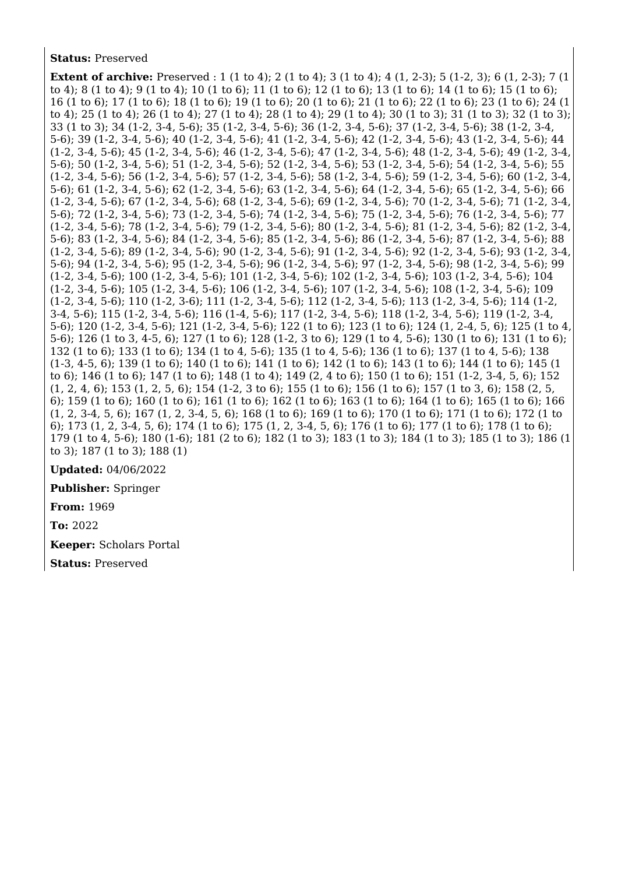## **Status:** Preserved

**Extent of archive:** Preserved : 1 (1 to 4); 2 (1 to 4); 3 (1 to 4); 4 (1, 2-3); 5 (1-2, 3); 6 (1, 2-3); 7 (1 to 4); 8 (1 to 4); 9 (1 to 4); 10 (1 to 6); 11 (1 to 6); 12 (1 to 6); 13 (1 to 6); 14 (1 to 6); 15 (1 to 6); 16 (1 to 6); 17 (1 to 6); 18 (1 to 6); 19 (1 to 6); 20 (1 to 6); 21 (1 to 6); 22 (1 to 6); 23 (1 to 6); 24 (1 to 4); 25 (1 to 4); 26 (1 to 4); 27 (1 to 4); 28 (1 to 4); 29 (1 to 4); 30 (1 to 3); 31 (1 to 3); 32 (1 to 3); 33 (1 to 3); 34 (1-2, 3-4, 5-6); 35 (1-2, 3-4, 5-6); 36 (1-2, 3-4, 5-6); 37 (1-2, 3-4, 5-6); 38 (1-2, 3-4, 5-6); 39 (1-2, 3-4, 5-6); 40 (1-2, 3-4, 5-6); 41 (1-2, 3-4, 5-6); 42 (1-2, 3-4, 5-6); 43 (1-2, 3-4, 5-6); 44 (1-2, 3-4, 5-6); 45 (1-2, 3-4, 5-6); 46 (1-2, 3-4, 5-6); 47 (1-2, 3-4, 5-6); 48 (1-2, 3-4, 5-6); 49 (1-2, 3-4, 5-6); 50 (1-2, 3-4, 5-6); 51 (1-2, 3-4, 5-6); 52 (1-2, 3-4, 5-6); 53 (1-2, 3-4, 5-6); 54 (1-2, 3-4, 5-6); 55 (1-2, 3-4, 5-6); 56 (1-2, 3-4, 5-6); 57 (1-2, 3-4, 5-6); 58 (1-2, 3-4, 5-6); 59 (1-2, 3-4, 5-6); 60 (1-2, 3-4, 5-6); 61 (1-2, 3-4, 5-6); 62 (1-2, 3-4, 5-6); 63 (1-2, 3-4, 5-6); 64 (1-2, 3-4, 5-6); 65 (1-2, 3-4, 5-6); 66 (1-2, 3-4, 5-6); 67 (1-2, 3-4, 5-6); 68 (1-2, 3-4, 5-6); 69 (1-2, 3-4, 5-6); 70 (1-2, 3-4, 5-6); 71 (1-2, 3-4, 5-6); 72 (1-2, 3-4, 5-6); 73 (1-2, 3-4, 5-6); 74 (1-2, 3-4, 5-6); 75 (1-2, 3-4, 5-6); 76 (1-2, 3-4, 5-6); 77 (1-2, 3-4, 5-6); 78 (1-2, 3-4, 5-6); 79 (1-2, 3-4, 5-6); 80 (1-2, 3-4, 5-6); 81 (1-2, 3-4, 5-6); 82 (1-2, 3-4, 5-6); 83 (1-2, 3-4, 5-6); 84 (1-2, 3-4, 5-6); 85 (1-2, 3-4, 5-6); 86 (1-2, 3-4, 5-6); 87 (1-2, 3-4, 5-6); 88 (1-2, 3-4, 5-6); 89 (1-2, 3-4, 5-6); 90 (1-2, 3-4, 5-6); 91 (1-2, 3-4, 5-6); 92 (1-2, 3-4, 5-6); 93 (1-2, 3-4, 5-6); 94 (1-2, 3-4, 5-6); 95 (1-2, 3-4, 5-6); 96 (1-2, 3-4, 5-6); 97 (1-2, 3-4, 5-6); 98 (1-2, 3-4, 5-6); 99 (1-2, 3-4, 5-6); 100 (1-2, 3-4, 5-6); 101 (1-2, 3-4, 5-6); 102 (1-2, 3-4, 5-6); 103 (1-2, 3-4, 5-6); 104 (1-2, 3-4, 5-6); 105 (1-2, 3-4, 5-6); 106 (1-2, 3-4, 5-6); 107 (1-2, 3-4, 5-6); 108 (1-2, 3-4, 5-6); 109 (1-2, 3-4, 5-6); 110 (1-2, 3-6); 111 (1-2, 3-4, 5-6); 112 (1-2, 3-4, 5-6); 113 (1-2, 3-4, 5-6); 114 (1-2, 3-4, 5-6); 115 (1-2, 3-4, 5-6); 116 (1-4, 5-6); 117 (1-2, 3-4, 5-6); 118 (1-2, 3-4, 5-6); 119 (1-2, 3-4, 5-6); 120 (1-2, 3-4, 5-6); 121 (1-2, 3-4, 5-6); 122 (1 to 6); 123 (1 to 6); 124 (1, 2-4, 5, 6); 125 (1 to 4, 5-6); 126 (1 to 3, 4-5, 6); 127 (1 to 6); 128 (1-2, 3 to 6); 129 (1 to 4, 5-6); 130 (1 to 6); 131 (1 to 6); 132 (1 to 6); 133 (1 to 6); 134 (1 to 4, 5-6); 135 (1 to 4, 5-6); 136 (1 to 6); 137 (1 to 4, 5-6); 138 (1-3, 4-5, 6); 139 (1 to 6); 140 (1 to 6); 141 (1 to 6); 142 (1 to 6); 143 (1 to 6); 144 (1 to 6); 145 (1 to 6); 146 (1 to 6); 147 (1 to 6); 148 (1 to 4); 149 (2, 4 to 6); 150 (1 to 6); 151 (1-2, 3-4, 5, 6); 152 (1, 2, 4, 6); 153 (1, 2, 5, 6); 154 (1-2, 3 to 6); 155 (1 to 6); 156 (1 to 6); 157 (1 to 3, 6); 158 (2, 5, 6); 159 (1 to 6); 160 (1 to 6); 161 (1 to 6); 162 (1 to 6); 163 (1 to 6); 164 (1 to 6); 165 (1 to 6); 166 (1, 2, 3-4, 5, 6); 167 (1, 2, 3-4, 5, 6); 168 (1 to 6); 169 (1 to 6); 170 (1 to 6); 171 (1 to 6); 172 (1 to 6); 173 (1, 2, 3-4, 5, 6); 174 (1 to 6); 175 (1, 2, 3-4, 5, 6); 176 (1 to 6); 177 (1 to 6); 178 (1 to 6); 179 (1 to 4, 5-6); 180 (1-6); 181 (2 to 6); 182 (1 to 3); 183 (1 to 3); 184 (1 to 3); 185 (1 to 3); 186 (1 to 3); 187 (1 to 3); 188 (1)

**Updated:** 04/06/2022

**Publisher:** Springer

**From:** 1969

**To:** 2022

**Keeper:** Scholars Portal

**Status:** Preserved